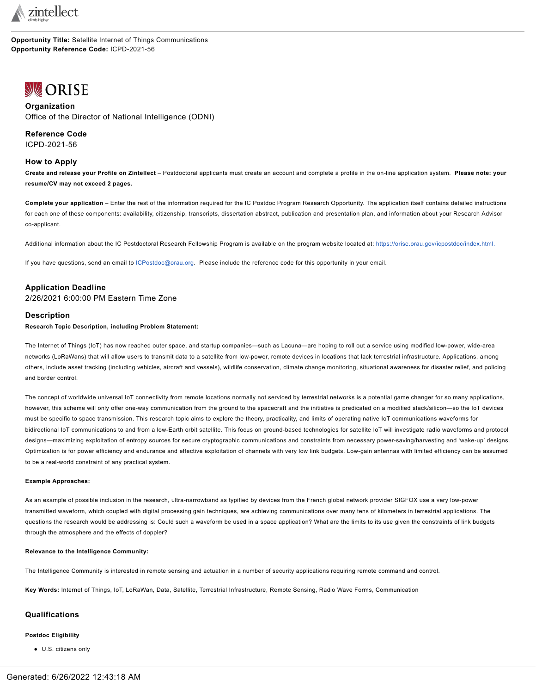

**Opportunity Title:** Satellite Internet of Things Communications **Opportunity Reference Code:** ICPD-2021-56

# <span id="page-0-0"></span>**WORISE**

# **Organization** Office of the Director of National Intelligence (ODNI)

**Reference Code** ICPD-2021-56

## **How to Apply**

Create and release your Profile on Zintellect - Postdoctoral applicants must create an account and complete a profile in the on-line application system. Please note: your **resume/CV may not exceed 2 pages.**

**Complete your application** – Enter the rest of the information required for the IC Postdoc Program Research Opportunity. The application itself contains detailed instructions for each one of these components: availability, citizenship, transcripts, dissertation abstract, publication and presentation plan, and information about your Research Advisor co-applicant.

Additional information about the IC Postdoctoral Research Fellowship Program is available on the program website located at: [https://orise.orau.gov/icpostdoc/index.html.](https://orise.orau.gov/icpostdoc/index.html)

If you have questions, send an email to [ICPostdoc@orau.org.](mailto:ICPostdoc@orau.org) Please include the reference code for this opportunity in your email.

# **Application Deadline**

2/26/2021 6:00:00 PM Eastern Time Zone

## **Description**

**Research Topic Description, including Problem Statement:**

The Internet of Things (IoT) has now reached outer space, and startup companies—such as Lacuna—are hoping to roll out a service using modified low-power, wide-area networks (LoRaWans) that will allow users to transmit data to a satellite from low-power, remote devices in locations that lack terrestrial infrastructure. Applications, among others, include asset tracking (including vehicles, aircraft and vessels), wildlife conservation, climate change monitoring, situational awareness for disaster relief, and policing and border control.

The concept of worldwide universal IoT connectivity from remote locations normally not serviced by terrestrial networks is a potential game changer for so many applications, however, this scheme will only offer one-way communication from the ground to the spacecraft and the initiative is predicated on a modified stack/silicon—so the IoT devices must be specific to space transmission. This research topic aims to explore the theory, practicality, and limits of operating native IoT communications waveforms for bidirectional IoT communications to and from a low-Earth orbit satellite. This focus on ground-based technologies for satellite IoT will investigate radio waveforms and protocol designs—maximizing exploitation of entropy sources for secure cryptographic communications and constraints from necessary power-saving/harvesting and 'wake-up' designs. Optimization is for power efficiency and endurance and effective exploitation of channels with very low link budgets. Low-gain antennas with limited efficiency can be assumed to be a real-world constraint of any practical system.

## **Example Approaches:**

As an example of possible inclusion in the research, ultra-narrowband as typified by devices from the French global network provider SIGFOX use a very low-power transmitted waveform, which coupled with digital processing gain techniques, are achieving communications over many tens of kilometers in terrestrial applications. The questions the research would be addressing is: Could such a waveform be used in a space application? What are the limits to its use given the constraints of link budgets through the atmosphere and the effects of doppler?

#### **Relevance to the Intelligence Community:**

The Intelligence Community is interested in remote sensing and actuation in a number of security applications requiring remote command and control.

**Key Words:** Internet of Things, IoT, LoRaWan, Data, Satellite, Terrestrial Infrastructure, Remote Sensing, Radio Wave Forms, Communication

# **Qualifications**

## **Postdoc Eligibility**

U.S. citizens only